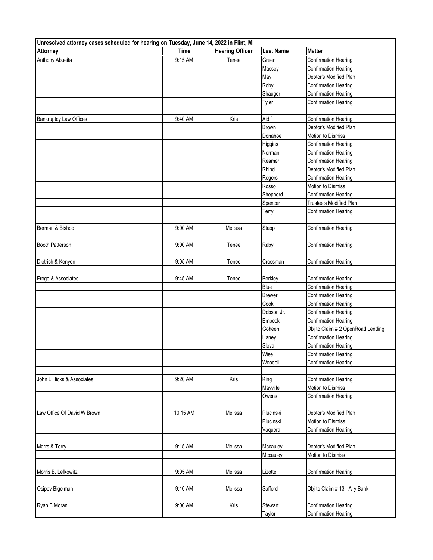| Unresolved attorney cases scheduled for hearing on Tuesday, June 14, 2022 in Flint, MI |             |                        |                   |                                                            |
|----------------------------------------------------------------------------------------|-------------|------------------------|-------------------|------------------------------------------------------------|
| Attorney                                                                               | <b>Time</b> | <b>Hearing Officer</b> | Last Name         | <b>Matter</b>                                              |
| Anthony Abueita                                                                        | 9:15 AM     | Tenee                  | Green             | Confirmation Hearing                                       |
|                                                                                        |             |                        | Massey            | <b>Confirmation Hearing</b>                                |
|                                                                                        |             |                        | May               | Debtor's Modified Plan                                     |
|                                                                                        |             |                        | Roby              | <b>Confirmation Hearing</b>                                |
|                                                                                        |             |                        | Shauger           | <b>Confirmation Hearing</b>                                |
|                                                                                        |             |                        | Tyler             | <b>Confirmation Hearing</b>                                |
|                                                                                        |             |                        |                   |                                                            |
| <b>Bankruptcy Law Offices</b>                                                          | 9:40 AM     | Kris                   | Aidif<br>Brown    | Confirmation Hearing<br>Debtor's Modified Plan             |
|                                                                                        |             |                        |                   |                                                            |
|                                                                                        |             |                        | Donahoe           | Motion to Dismiss                                          |
|                                                                                        |             |                        | Higgins<br>Norman | <b>Confirmation Hearing</b><br><b>Confirmation Hearing</b> |
|                                                                                        |             |                        | Reamer            |                                                            |
|                                                                                        |             |                        | Rhind             | Confirmation Hearing                                       |
|                                                                                        |             |                        |                   | Debtor's Modified Plan                                     |
|                                                                                        |             |                        | Rogers            | <b>Confirmation Hearing</b>                                |
|                                                                                        |             |                        | Rosso             | Motion to Dismiss                                          |
|                                                                                        |             |                        | Shepherd          | Confirmation Hearing                                       |
|                                                                                        |             |                        | Spencer           | Trustee's Modified Plan                                    |
|                                                                                        |             |                        | Terry             | <b>Confirmation Hearing</b>                                |
|                                                                                        |             |                        |                   |                                                            |
| Berman & Bishop                                                                        | 9:00 AM     | Melissa                | Stapp             | <b>Confirmation Hearing</b>                                |
| Booth Patterson                                                                        | 9:00 AM     | Tenee                  | Raby              | <b>Confirmation Hearing</b>                                |
|                                                                                        |             |                        |                   |                                                            |
| Dietrich & Kenyon                                                                      | 9:05 AM     | Tenee                  | Crossman          | <b>Confirmation Hearing</b>                                |
|                                                                                        |             |                        |                   |                                                            |
| Frego & Associates                                                                     | 9:45 AM     | Tenee                  | Berkley           | <b>Confirmation Hearing</b>                                |
|                                                                                        |             |                        | Blue              | <b>Confirmation Hearing</b>                                |
|                                                                                        |             |                        | Brewer            | <b>Confirmation Hearing</b>                                |
|                                                                                        |             |                        | Cook              | Confirmation Hearing                                       |
|                                                                                        |             |                        | Dobson Jr.        | <b>Confirmation Hearing</b>                                |
|                                                                                        |             |                        | Embeck            | <b>Confirmation Hearing</b>                                |
|                                                                                        |             |                        | Goheen            | Obj to Claim # 2 OpenRoad Lending                          |
|                                                                                        |             |                        | Haney             | <b>Confirmation Hearing</b>                                |
|                                                                                        |             |                        | Sleva             | <b>Confirmation Hearing</b>                                |
|                                                                                        |             |                        | Wise              | <b>Confirmation Hearing</b>                                |
|                                                                                        |             |                        | Woodell           | <b>Confirmation Hearing</b>                                |
|                                                                                        |             |                        |                   |                                                            |
| John L Hicks & Associates                                                              | 9:20 AM     | Kris                   | King              | <b>Confirmation Hearing</b>                                |
|                                                                                        |             |                        | Mayville          | Motion to Dismiss                                          |
|                                                                                        |             |                        | Owens             | <b>Confirmation Hearing</b>                                |
|                                                                                        |             |                        |                   |                                                            |
| Law Office Of David W Brown                                                            | 10:15 AM    | Melissa                | Plucinski         | Debtor's Modified Plan                                     |
|                                                                                        |             |                        | Plucinski         | Motion to Dismiss                                          |
|                                                                                        |             |                        | Vaquera           | <b>Confirmation Hearing</b>                                |
|                                                                                        |             |                        |                   |                                                            |
| Marrs & Terry                                                                          | 9:15 AM     | Melissa                | Mccauley          | Debtor's Modified Plan                                     |
|                                                                                        |             |                        | Mccauley          | Motion to Dismiss                                          |
|                                                                                        |             |                        |                   |                                                            |
| Morris B. Lefkowitz                                                                    | 9:05 AM     | Melissa                | Lizotte           | <b>Confirmation Hearing</b>                                |
|                                                                                        |             |                        |                   |                                                            |
| Osipov Bigelman                                                                        | 9:10 AM     | Melissa                | Safford           | Obj to Claim # 13: Ally Bank                               |
|                                                                                        |             |                        |                   |                                                            |
| Ryan B Moran                                                                           | 9:00 AM     | Kris                   | Stewart           | <b>Confirmation Hearing</b>                                |
|                                                                                        |             |                        | <b>Taylor</b>     | <b>Confirmation Hearing</b>                                |